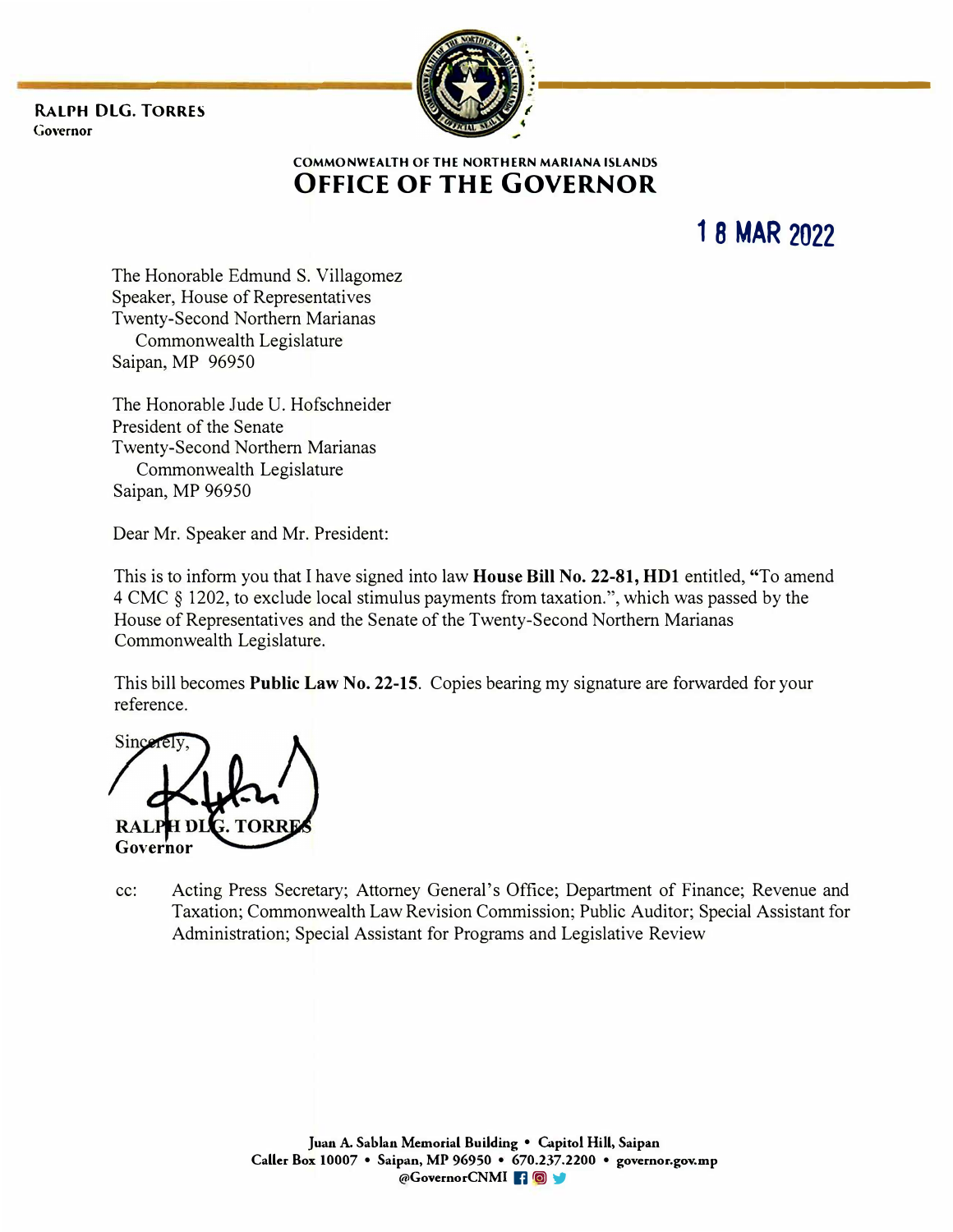**RALPH OLG. TORRES Governor** 



**COMMONWEALTH OF THE NORTHERN MARIANA ISLANDS OFFICE OF THE GOVERNOR** 

**1 8 MAR 2022** 

The Honorable Edmund S. Villagomez Speaker, House of Representatives Twenty-Second Northern Marianas Commonwealth Legislature Saipan, MP 96950

The Honorable Jude U. Hofschneider President of the Senate Twenty-Second Northern Marianas Commonwealth Legislature Saipan, MP 96950

Dear Mr. Speaker and Mr. President:

This is to inform you that I have signed into law **House Bill No. 22-81, HDl** entitled, "To amend 4 CMC § 1202, to exclude local stimulus payments from taxation.", which was passed by the House of Representatives and the Senate of the Twenty-Second Northern Marianas Commonwealth Legislature.

This bill becomes **Public Law No. 22-15.** Copies bearing my signature are forwarded for your reference.

Sinc **Governor** 

cc: Acting Press Secretary; Attorney General's Office; Department of Finance; Revenue and Taxation; Commonwealth Law Revision Commission; Public Auditor; Special Assistant for Administration; Special Assistant for Programs and Legislative Review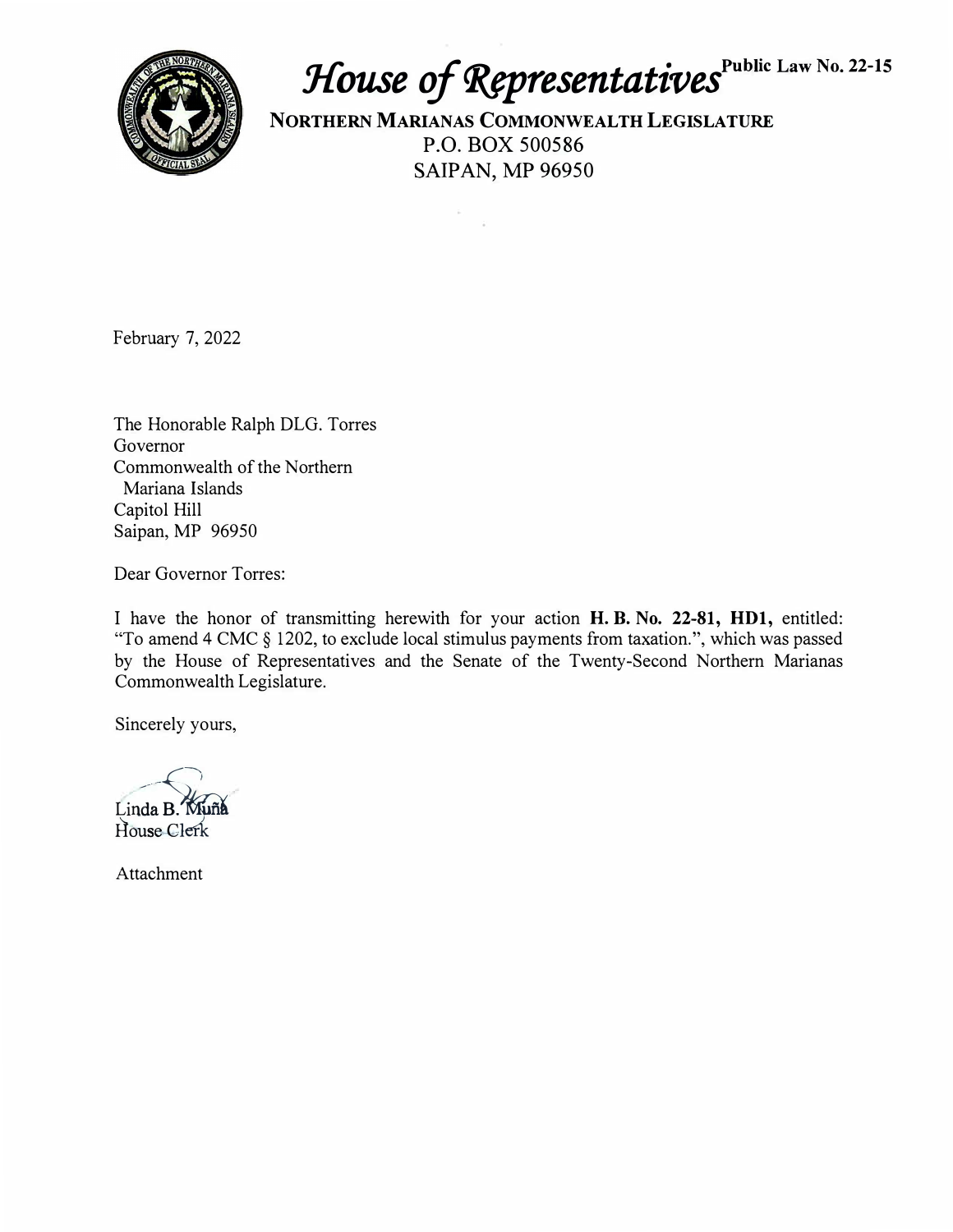

## *House of Representatives* Public Law No. 22-15

**NORTHERN MARIANAS COMMONWEALTH LEGISLATURE**  P.O. BOX 500586 SAIPAN, MP 96950

February 7, 2022

The Honorable Ralph DLG. Torres Governor Commonwealth of the Northern Mariana Islands Capitol Hill Saipan, MP 96950

Dear Governor Torres:

I have the honor of transmitting herewith for your action **H.B. No. 22-81, HDl,** entitled: "To amend 4 CMC § 1202, to exclude local stimulus payments from taxation.", which was passed by the House of Representatives and the Senate of the Twenty-Second Northern Marianas Commonwealth Legislature.

Sincerely yours,

Linda B. Muña<br>House Clerk

Attachment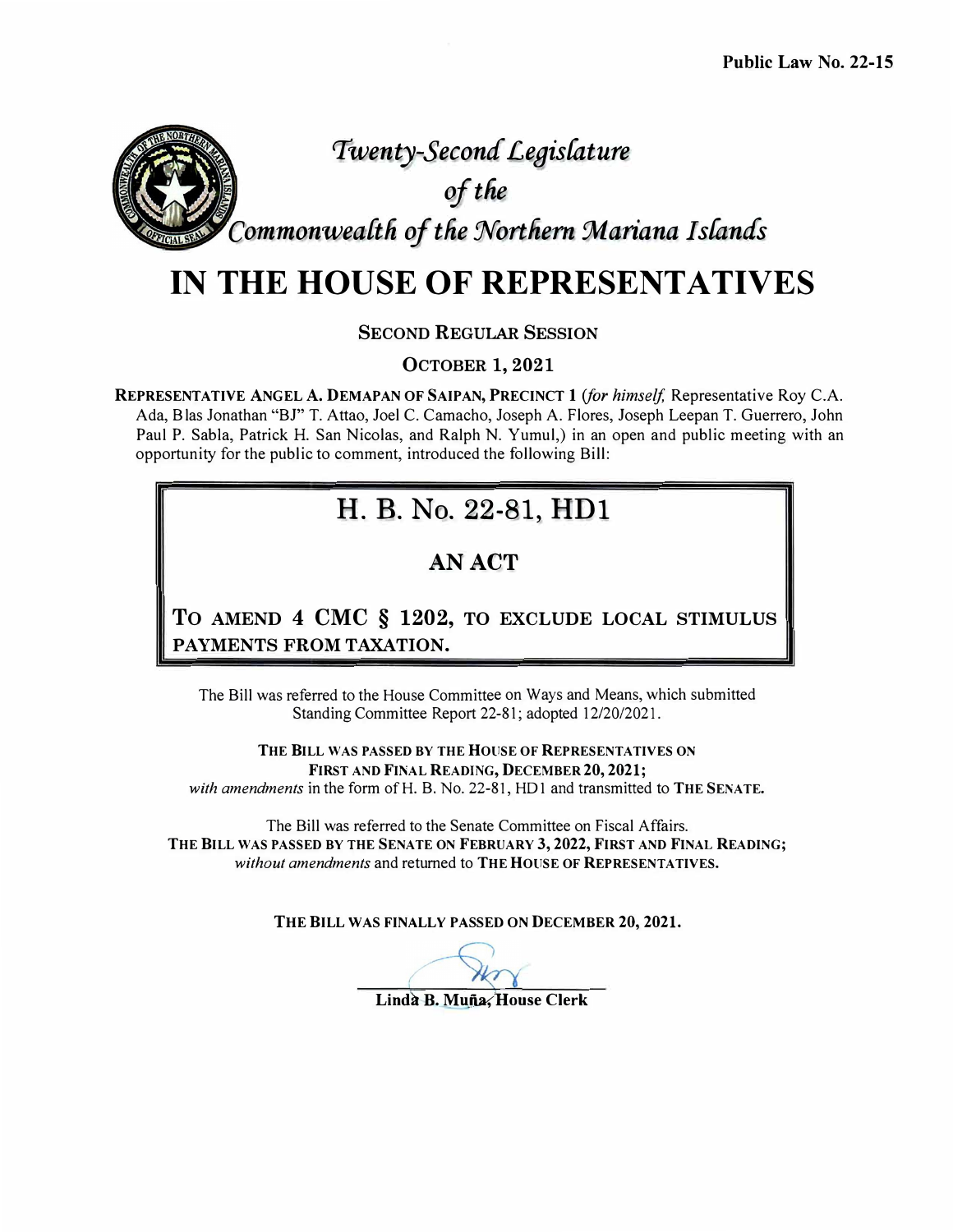## *Twenty-Second Le9islature*

*efthe* 

*Commonwea{tli of tlie :Northern :Mariana I sfantfs* 

## **IN THE HOUSE OF REPRESENTATIVES**

**SECOND REGULAR SESSION** 

**OCTOBER 1, 2021** 

**REPRESENTATIVE ANGEL A. DEMAPAN OF SAIPAN, PRECINCT 1** *(for himself,* Representative Roy C.A. Ada, Blas Jonathan "BJ" T. Attao, Joel C. Camacho, Joseph A. Flores, Joseph Leepan T. Guerrero, John Paul P. Sabia, Patrick H. San Nicolas, and Ralph N. Yumul,) in an open and public meeting with an opportunity for the public to comment, introduced the following Bill:

#### H. B. No. 22-81, HD1

#### **AN ACT**

**To AMEND 4 CMC § 1202, TO EXCLUDE LOCAL STIMULUS PAYMENTS FROM TAXATION.** 

The Bill was referred to the House Committee on Ways and Means, which submitted Standing Committee Report 22-81; adopted 12/20/2021.

**THE BILL WAS PASSED BY THE HOUSE OF REPRESENTATIVES ON FIRST AND FINAL READING, DECEMBER 20, 2021;** 

with amendments in the form of H. B. No. 22-81, HD1 and transmitted to **THE SENATE.** 

The Bill was referred to the Senate Committee on Fiscal Affairs. THE BILL WAS PASSED BY THE SENATE ON FEBRUARY 3, 2022, FIRST AND FINAL READING; *without amendments* and returned to **THE HOUSE OF REPRESENTATIVES.** 

**THE BILL WAS FINALLY PASSED ON DECEMBER 20, 2021.** 

Lindà B. Muña. House Clerk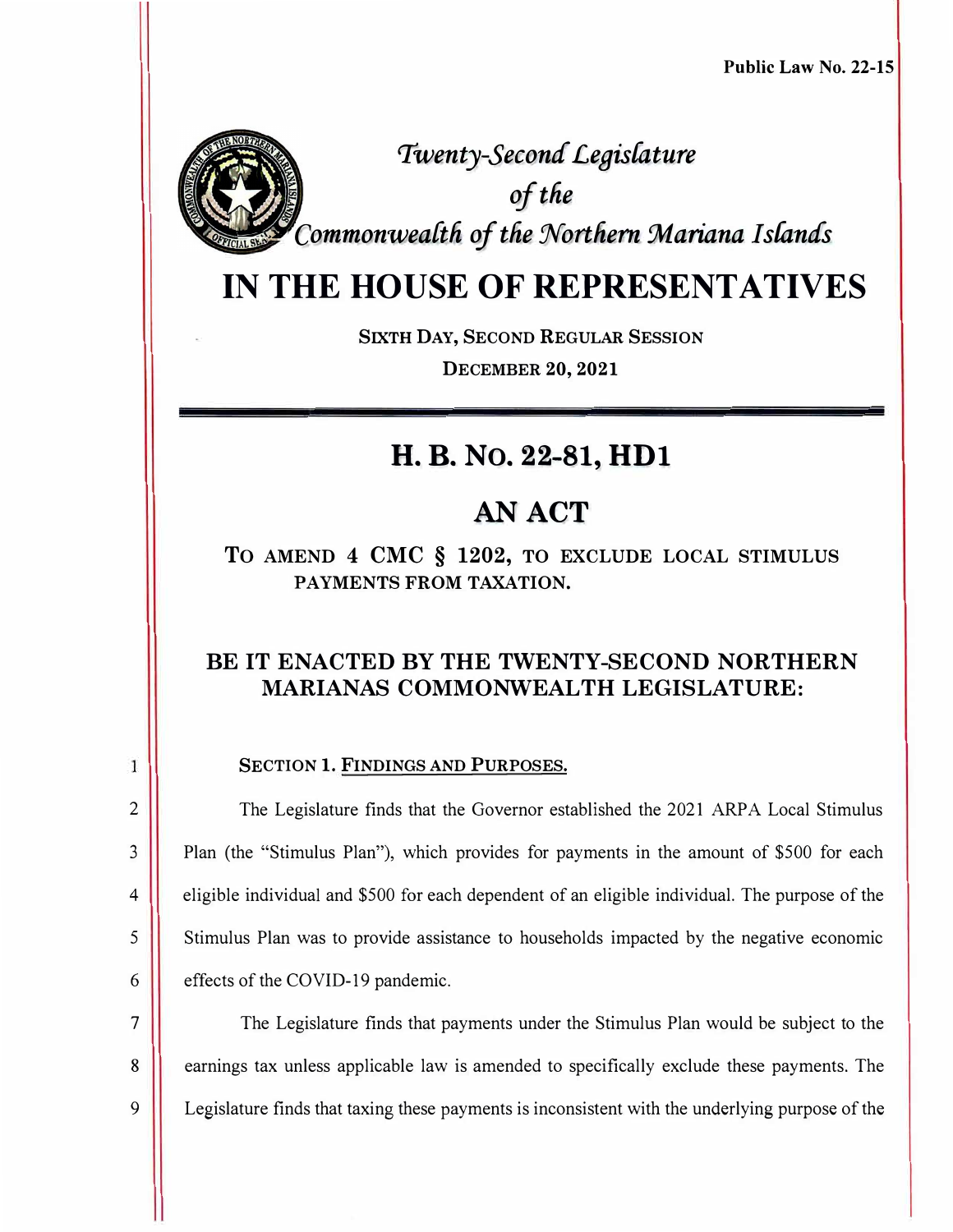

2

1

3

4

5

6

7

8

9

**Twenty-Second Legislature** *aftlie CommonweaCtli of the Northern :Mariana I stands* 

## **IN THE HOUSE OF REPRESENTATIVES**

**SIXTH DAY, SECOND REGULAR SESSION DECEMBER 20, 2021** 

## **H.B. No. 22-81, HDl**

## **AN ACT**

**To AMEND 4 CMC § 1202, TO EXCLUDE LOCAL STIMULUS PAYMENTS FROM TAXATION.** 

#### **BE IT ENACTED BY THE TWENTY-SECOND NORTHERN MARIANAS COMMONWEALTH LEGISLATURE:**

**SECTION 1. FINDINGS AND PURPOSES.** 

The Legislature finds that the Governor established the 2021 ARPA Local Stimulus Plan (the "Stimulus Plan"), which provides for payments in the amount of \$500 for each eligible individual and \$500 for each dependent of an eligible individual. The purpose of the Stimulus Plan was to provide assistance to households impacted by the negative economic effects of the COVID-19 pandemic.

The Legislature finds that payments under the Stimulus Plan would be subject to the earnings tax unless applicable law is amended to specifically exclude these payments. The Legislature finds that taxing these payments is inconsistent with the underlying purpose of the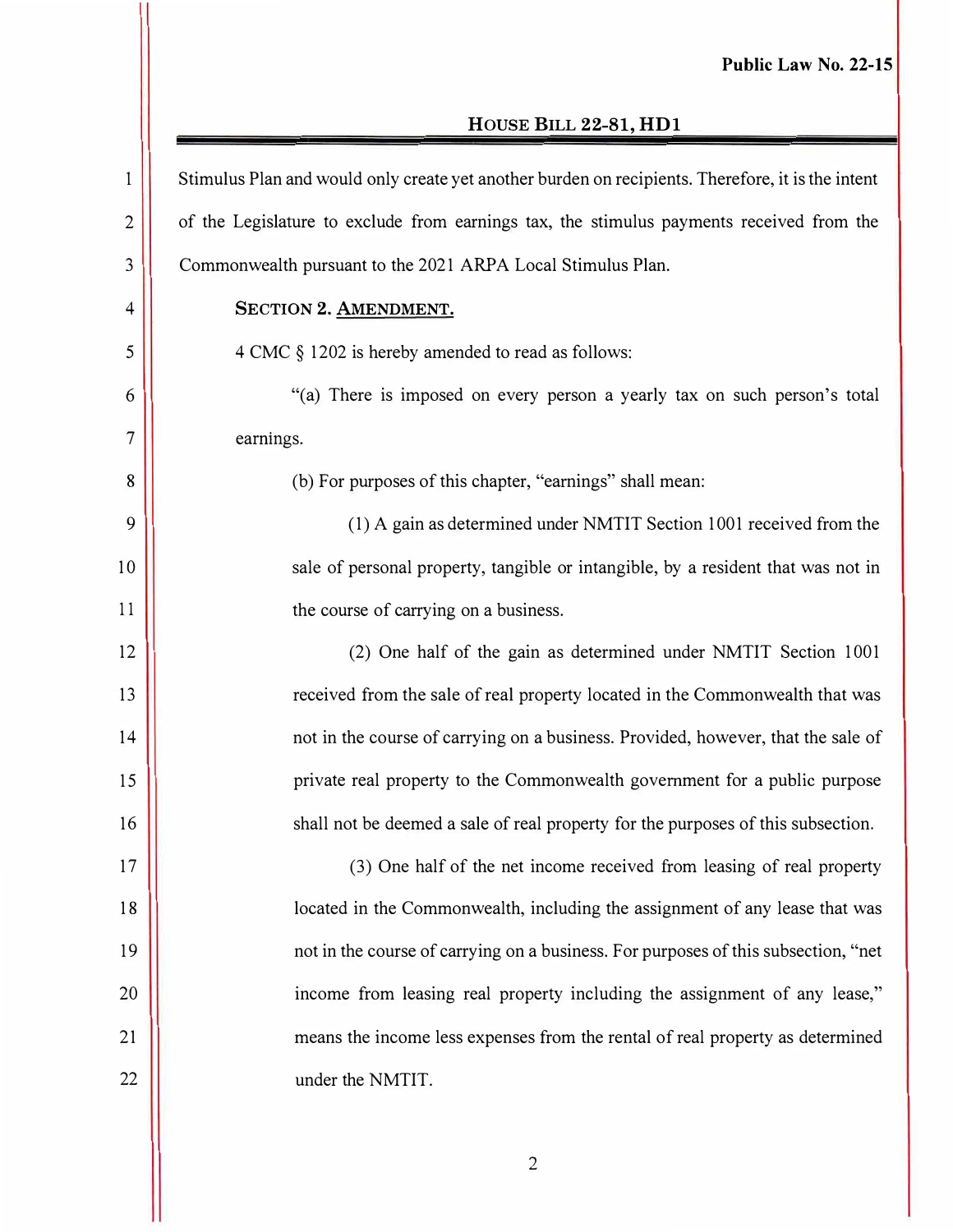#### **HOUSE BILL 22-81, HDl**

| 1              | Stimulus Plan and would only create yet another burden on recipients. Therefore, it is the intent |
|----------------|---------------------------------------------------------------------------------------------------|
| $\overline{2}$ | of the Legislature to exclude from earnings tax, the stimulus payments received from the          |
| 3              | Commonwealth pursuant to the 2021 ARPA Local Stimulus Plan.                                       |
| $\overline{4}$ | SECTION 2. AMENDMENT.                                                                             |
| 5              | 4 CMC § 1202 is hereby amended to read as follows:                                                |
| 6              | "(a) There is imposed on every person a yearly tax on such person's total                         |
| $\overline{7}$ | earnings.                                                                                         |
| 8              | (b) For purposes of this chapter, "earnings" shall mean:                                          |
| 9              | (1) A gain as determined under NMTIT Section 1001 received from the                               |
| 10             | sale of personal property, tangible or intangible, by a resident that was not in                  |
| 11             | the course of carrying on a business.                                                             |
| 12             | (2) One half of the gain as determined under NMTIT Section 1001                                   |
| 13             | received from the sale of real property located in the Commonwealth that was                      |
| 14             | not in the course of carrying on a business. Provided, however, that the sale of                  |
| 15             | private real property to the Commonwealth government for a public purpose                         |
| 16             | shall not be deemed a sale of real property for the purposes of this subsection.                  |
| 17             | (3) One half of the net income received from leasing of real property                             |
| 18             | located in the Commonwealth, including the assignment of any lease that was                       |
| 19             | not in the course of carrying on a business. For purposes of this subsection, "net                |
| 20             | income from leasing real property including the assignment of any lease,"                         |
| 21             | means the income less expenses from the rental of real property as determined                     |
| 22             | under the NMTIT.                                                                                  |
|                |                                                                                                   |

2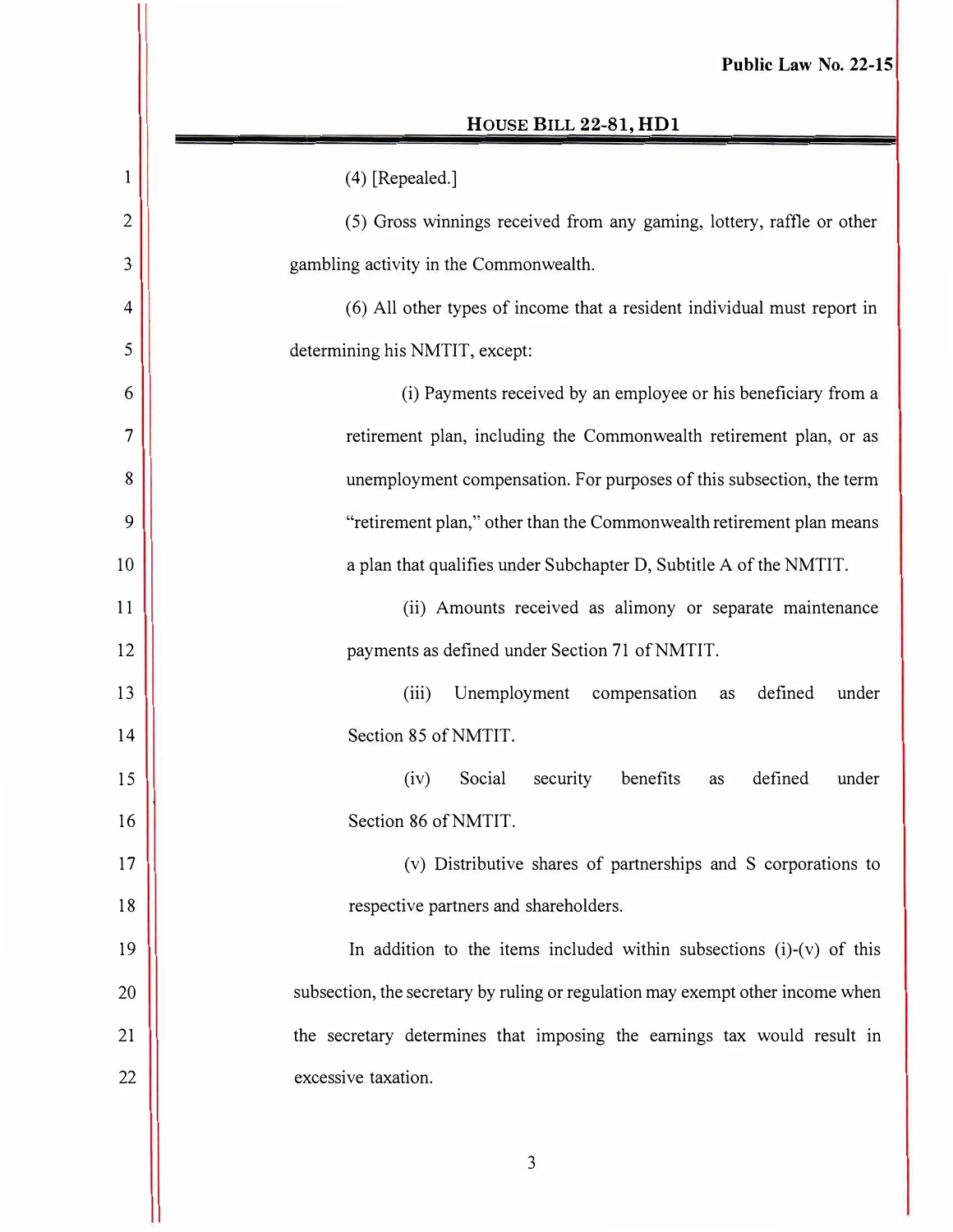#### **HOUSE BILL 22-81, HDl**

| $\mathbf{1}$             | (4) [Repealed.]                                                                |
|--------------------------|--------------------------------------------------------------------------------|
| $\overline{2}$           | (5) Gross winnings received from any gaming, lottery, raffle or other          |
| 3                        | gambling activity in the Commonwealth.                                         |
| $\overline{4}$           | (6) All other types of income that a resident individual must report in        |
| 5                        | determining his NMTIT, except:                                                 |
| 6                        | (i) Payments received by an employee or his beneficiary from a                 |
| $\overline{\mathcal{L}}$ | retirement plan, including the Commonwealth retirement plan, or as             |
| 8                        | unemployment compensation. For purposes of this subsection, the term           |
| 9                        | "retirement plan," other than the Commonwealth retirement plan means           |
| 10                       | a plan that qualifies under Subchapter D, Subtitle A of the NMTIT.             |
| 11                       | (ii) Amounts received as alimony or separate maintenance                       |
| 12                       | payments as defined under Section 71 of NMTIT.                                 |
| 13                       | Unemployment<br>defined<br>(iii)<br>compensation<br>under<br>as                |
| 14                       | Section 85 of NMTIT.                                                           |
| 15                       | Social<br>security<br>benefits<br>defined<br>(iv)<br>under<br>as               |
| 16                       | Section 86 of NMTIT.                                                           |
| 17                       | (v) Distributive shares of partnerships and S corporations to                  |
| 18                       | respective partners and shareholders.                                          |
| 19                       | In addition to the items included within subsections $(i)-(v)$ of this         |
| 20                       | subsection, the secretary by ruling or regulation may exempt other income when |
| 21                       | the secretary determines that imposing the earnings tax would result in        |
| 22                       | excessive taxation.                                                            |
|                          |                                                                                |

3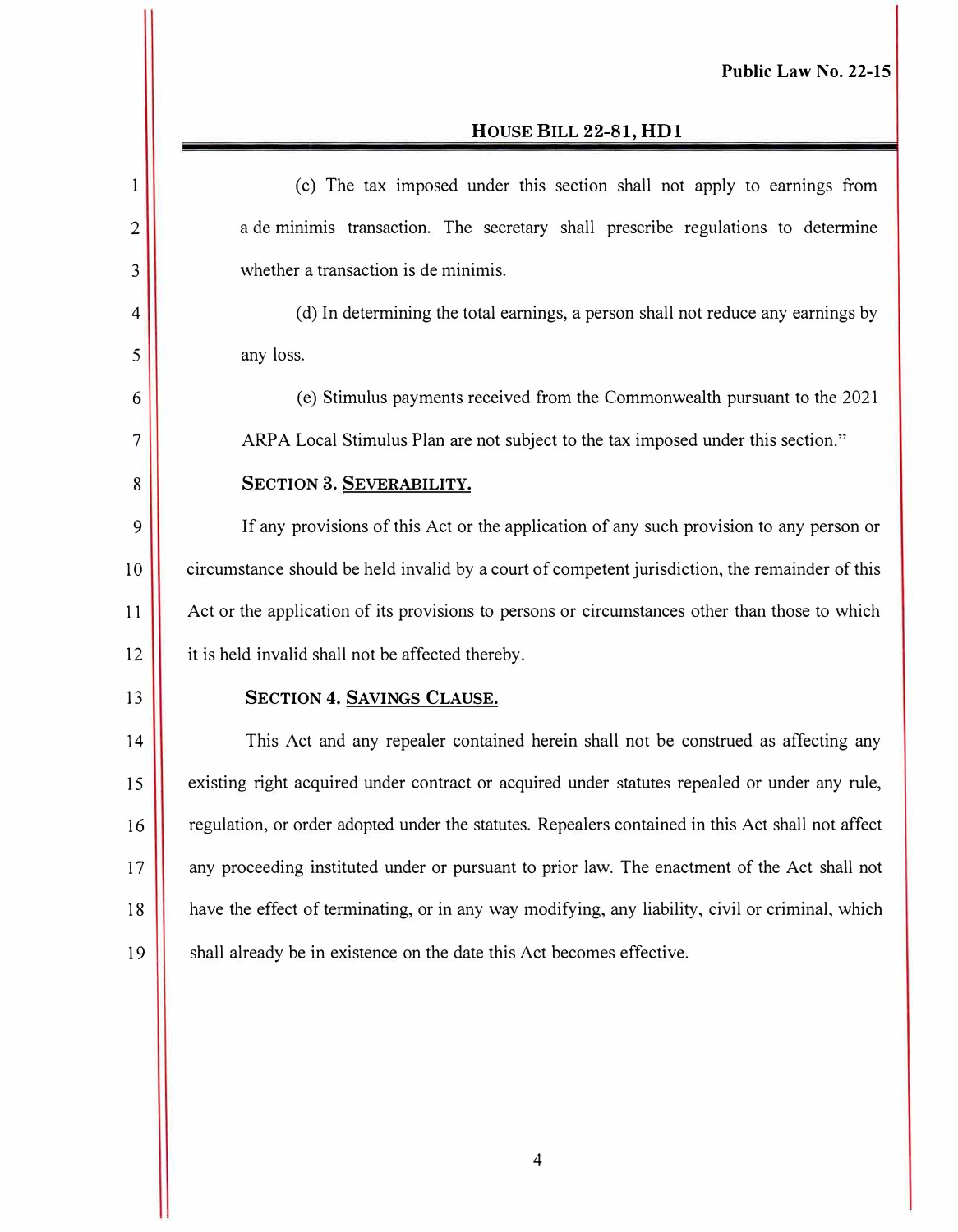#### **HOUSE BILL 22-81, HDl**

| 1              | (c) The tax imposed under this section shall not apply to earnings from                           |
|----------------|---------------------------------------------------------------------------------------------------|
| $\overline{2}$ | a de minimis transaction. The secretary shall prescribe regulations to determine                  |
| 3              | whether a transaction is de minimis.                                                              |
| 4              | (d) In determining the total earnings, a person shall not reduce any earnings by                  |
| 5              | any loss.                                                                                         |
| 6              | (e) Stimulus payments received from the Commonwealth pursuant to the 2021                         |
| 7              | ARPA Local Stimulus Plan are not subject to the tax imposed under this section."                  |
| 8              | SECTION 3. SEVERABILITY.                                                                          |
| 9              | If any provisions of this Act or the application of any such provision to any person or           |
| 10             | circumstance should be held invalid by a court of competent jurisdiction, the remainder of this   |
| 11             | Act or the application of its provisions to persons or circumstances other than those to which    |
| 12             | it is held invalid shall not be affected thereby.                                                 |
| 13             | SECTION 4. SAVINGS CLAUSE.                                                                        |
| 14             | This Act and any repealer contained herein shall not be construed as affecting any                |
| 15             | existing right acquired under contract or acquired under statutes repealed or under any rule,     |
| 16             | regulation, or order adopted under the statutes. Repealers contained in this Act shall not affect |
| 17             | any proceeding instituted under or pursuant to prior law. The enactment of the Act shall not      |
| 18             | have the effect of terminating, or in any way modifying, any liability, civil or criminal, which  |
| 19             | shall already be in existence on the date this Act becomes effective.                             |
|                |                                                                                                   |